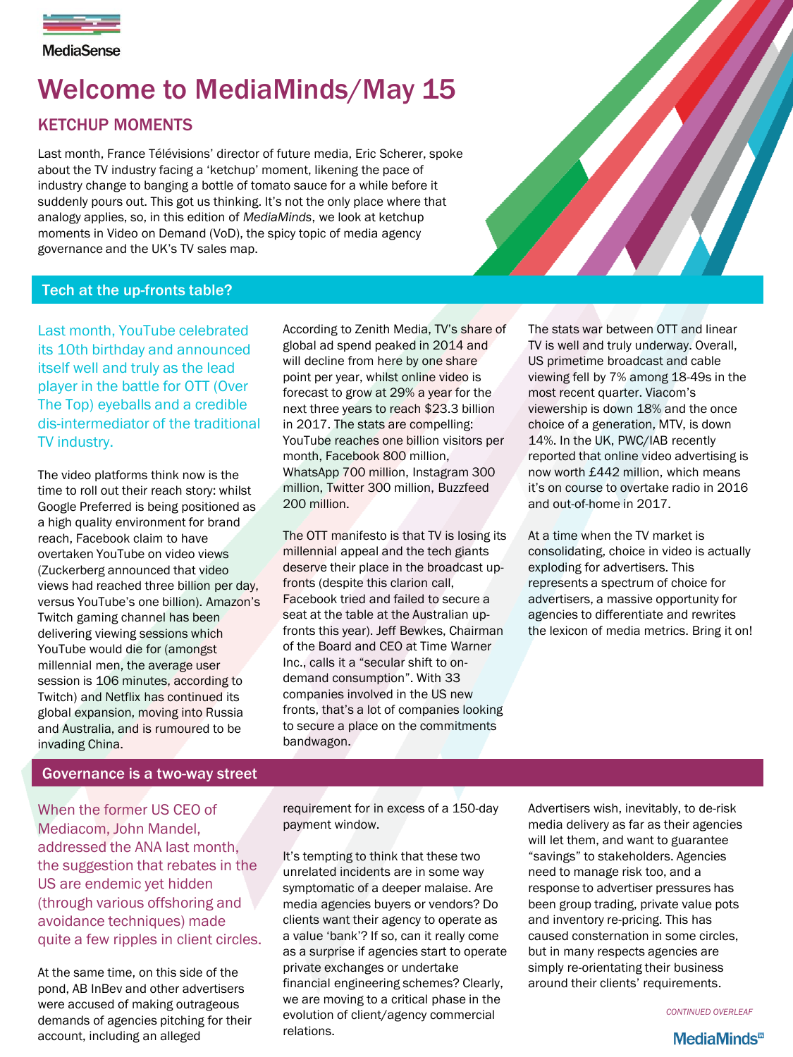

**MediaSense** 

# Welcome to MediaMinds/May 15

# KETCHUP MOMENTS

Last month, France Télévisions' director of future media, Eric Scherer, spoke about the TV industry facing a 'ketchup' moment, likening the pace of industry change to banging a bottle of tomato sauce for a while before it suddenly pours out. This got us thinking. It's not the only place where that analogy applies, so, in this edition of *MediaMinds*, we look at ketchup moments in Video on Demand (VoD), the spicy topic of media agency governance and the UK's TV sales map.



# Tech at the up-fronts table?

Last month, YouTube celebrated its 10th birthday and announced itself well and truly as the lead player in the battle for OTT (Over The Top) eyeballs and a credible dis-intermediator of the traditional TV industry.

The video platforms think now is the time to roll out their reach story: whilst Google Preferred is being positioned as a high quality environment for brand reach, Facebook claim to have overtaken YouTube on video views (Zuckerberg announced that video views had reached three billion per day, versus YouTube's one billion). Amazon's Twitch gaming channel has been delivering viewing sessions which YouTube would die for (amongst millennial men, the average user session is 106 minutes, according to Twitch) and Netflix has continued its global expansion, moving into Russia and Australia, and is rumoured to be invading China.

According to Zenith Media, TV's share of global ad spend peaked in 2014 and will decline from here by one share point per year, whilst online video is forecast to grow at 29% a year for the next three years to reach \$23.3 billion in 2017. The stats are compelling: YouTube reaches one billion visitors per month, Facebook 800 million, WhatsApp 700 million, Instagram 300 million, Twitter 300 million, Buzzfeed 200 million.

The OTT manifesto is that TV is losing its millennial appeal and the tech giants deserve their place in the broadcast upfronts (despite this clarion call, Facebook tried and failed to secure a seat at the table at the Australian upfronts this year). Jeff Bewkes, Chairman of the Board and CEO at Time Warner Inc., calls it a "secular shift to ondemand consumption". With 33 companies involved in the US new fronts, that's a lot of companies looking to secure a place on the commitments bandwagon.

The stats war between OTT and linear TV is well and truly underway. Overall, US primetime broadcast and cable viewing fell by 7% among 18-49s in the most recent quarter. Viacom's viewership is down 18% and the once choice of a generation, MTV, is down 14%. In the UK, PWC/IAB recently reported that online video advertising is now worth £442 million, which means it's on course to overtake radio in 2016 and out-of-home in 2017.

At a time when the TV market is consolidating, choice in video is actually exploding for advertisers. This represents a spectrum of choice for advertisers, a massive opportunity for agencies to differentiate and rewrites the lexicon of media metrics. Bring it on!

#### Governance is a two-way street

When the former US CEO of Mediacom, John Mandel, addressed the ANA last month, the suggestion that rebates in the US are endemic yet hidden (through various offshoring and avoidance techniques) made quite a few ripples in client circles.

At the same time, on this side of the pond, AB InBev and other advertisers were accused of making outrageous demands of agencies pitching for their account, including an alleged

requirement for in excess of a 150-day payment window.

It's tempting to think that these two unrelated incidents are in some way symptomatic of a deeper malaise. Are media agencies buyers or vendors? Do clients want their agency to operate as a value 'bank'? If so, can it really come as a surprise if agencies start to operate private exchanges or undertake financial engineering schemes? Clearly, we are moving to a critical phase in the evolution of client/agency commercial relations.

Advertisers wish, inevitably, to de-risk media delivery as far as their agencies will let them, and want to guarantee "savings" to stakeholders. Agencies need to manage risk too, and a response to advertiser pressures has been group trading, private value pots and inventory re-pricing. This has caused consternation in some circles, but in many respects agencies are simply re-orientating their business around their clients' requirements.

*CONTINUED OVERLEAF*